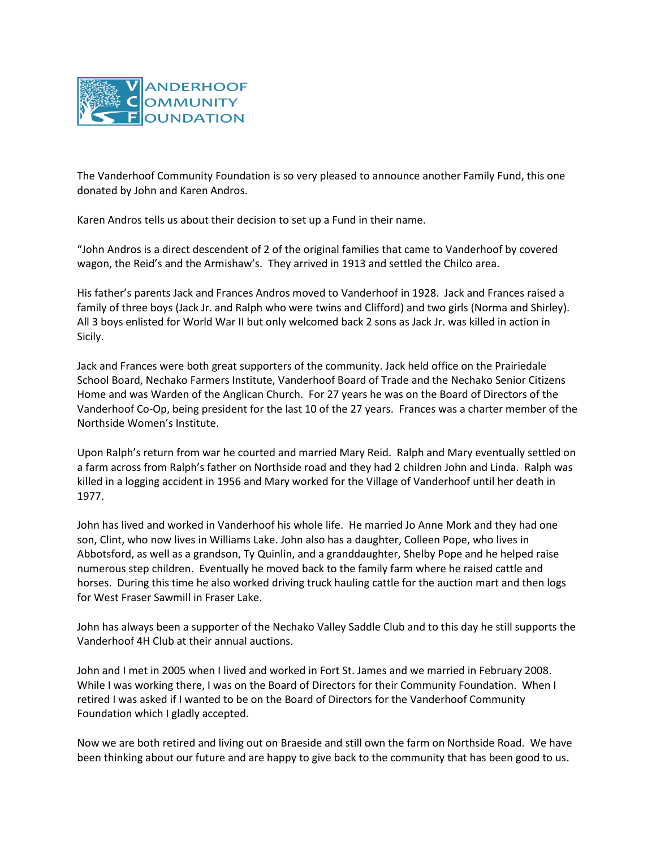

The Vanderhoof Community Foundation is so very pleased to announce another Family Fund, this one donated by John and Karen Andros.

Karen Andros tells us about their decision to set up a Fund in their name.

"John Andros is a direct descendent of 2 of the original families that came to Vanderhoof by covered wagon, the Reid's and the Armishaw's. They arrived in 1913 and settled the Chilco area.

His father's parents Jack and Frances Andros moved to Vanderhoof in 1928. Jack and Frances raised a family of three boys (Jack Jr. and Ralph who were twins and Clifford) and two girls (Norma and Shirley). All 3 boys enlisted for World War II but only welcomed back 2 sons as Jack Jr. was killed in action in Sicily.

Jack and Frances were both great supporters of the community. Jack held office on the Prairiedale School Board, Nechako Farmers Institute, Vanderhoof Board of Trade and the Nechako Senior Citizens Home and was Warden of the Anglican Church. For 27 years he was on the Board of Directors of the Vanderhoof Co-Op, being president for the last 10 of the 27 years. Frances was a charter member of the Northside Women's Institute.

Upon Ralph's return from war he courted and married Mary Reid. Ralph and Mary eventually settled on a farm across from Ralph's father on Northside road and they had 2 children John and Linda. Ralph was killed in a logging accident in 1956 and Mary worked for the Village of Vanderhoof until her death in 1977.

John has lived and worked in Vanderhoof his whole life. He married Jo Anne Mork and they had one son, Clint, who now lives in Williams Lake. John also has a daughter, Colleen Pope, who lives in Abbotsford, as well as a grandson, Ty Quinlin, and a granddaughter, Shelby Pope and he helped raise numerous step children. Eventually he moved back to the family farm where he raised cattle and horses. During this time he also worked driving truck hauling cattle for the auction mart and then logs for West Fraser Sawmill in Fraser Lake.

John has always been a supporter of the Nechako Valley Saddle Club and to this day he still supports the Vanderhoof 4H Club at their annual auctions.

John and I met in 2005 when I lived and worked in Fort St. James and we married in February 2008. While I was working there, I was on the Board of Directors for their Community Foundation. When I retired I was asked if I wanted to be on the Board of Directors for the Vanderhoof Community Foundation which I gladly accepted.

Now we are both retired and living out on Braeside and still own the farm on Northside Road. We have been thinking about our future and are happy to give back to the community that has been good to us.